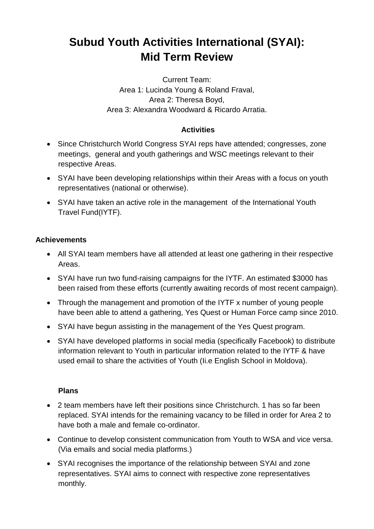## **Subud Youth Activities International (SYAI): Mid Term Review**

Current Team: Area 1: Lucinda Young & Roland Fraval, Area 2: Theresa Boyd, Area 3: Alexandra Woodward & Ricardo Arratia.

## **Activities**

- Since Christchurch World Congress SYAI reps have attended; congresses, zone meetings, general and youth gatherings and WSC meetings relevant to their respective Areas.
- SYAI have been developing relationships within their Areas with a focus on youth representatives (national or otherwise).
- SYAI have taken an active role in the management of the International Youth Travel Fund(IYTF).

## **Achievements**

- All SYAI team members have all attended at least one gathering in their respective Areas.
- SYAI have run two fund-raising campaigns for the IYTF. An estimated \$3000 has been raised from these efforts (currently awaiting records of most recent campaign).
- Through the management and promotion of the IYTF x number of young people have been able to attend a gathering, Yes Quest or Human Force camp since 2010.
- SYAI have begun assisting in the management of the Yes Quest program.
- SYAI have developed platforms in social media (specifically Facebook) to distribute information relevant to Youth in particular information related to the IYTF & have used email to share the activities of Youth (Ii.e English School in Moldova).

## **Plans**

- 2 team members have left their positions since Christchurch. 1 has so far been replaced. SYAI intends for the remaining vacancy to be filled in order for Area 2 to have both a male and female co-ordinator.
- Continue to develop consistent communication from Youth to WSA and vice versa. (Via emails and social media platforms.)
- SYAI recognises the importance of the relationship between SYAI and zone representatives. SYAI aims to connect with respective zone representatives monthly.